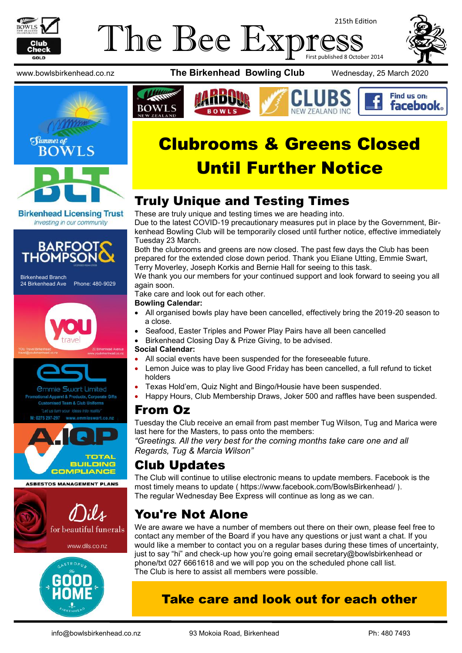

Birkenhead Branch

THO

24 Birkenhead Ave Phone: 480-9029

### The Bee Exp 215th Edition First published 8 October 2014



Find us on: **facebook** 

www.bowlsbirkenhead.co.nz **The Birkenhead Bowling Club** Wednesday, 25 March 2020



**Birkenhead Licensing Trust** Investing in our community

Clubrooms & Greens Closed

NFW 7FAI AND INC

# Until Further Notice

# Truly Unique and Testing Times

These are truly unique and testing times we are heading into.

Due to the latest COVID-19 precautionary measures put in place by the Government, Birkenhead Bowling Club will be temporarily closed until further notice, effective immediately Tuesday 23 March.

Both the clubrooms and greens are now closed. The past few days the Club has been prepared for the extended close down period. Thank you Eliane Utting, Emmie Swart, Terry Moverley, Joseph Korkis and Bernie Hall for seeing to this task.

We thank you our members for your continued support and look forward to seeing you all again soon.

Take care and look out for each other.

#### **Bowling Calendar:**

- All organised bowls play have been cancelled, effectively bring the 2019-20 season to a close.
- Seafood, Easter Triples and Power Play Pairs have all been cancelled
- Birkenhead Closing Day & Prize Giving, to be advised.

#### **Social Calendar:**

- All social events have been suspended for the foreseeable future.
- Lemon Juice was to play live Good Friday has been cancelled, a full refund to ticket holders
- Texas Hold'em, Quiz Night and Bingo/Housie have been suspended.
- Happy Hours, Club Membership Draws, Joker 500 and raffles have been suspended.

## From Oz

Tuesday the Club receive an email from past member Tug Wilson, Tug and Marica were last here for the Masters, to pass onto the members:

*"Greetings. All the very best for the coming months take care one and all Regards, Tug & Marcia Wilson"*

# Club Updates

The Club will continue to utilise electronic means to update members. Facebook is the most timely means to update (<https://www.facebook.com/BowlsBirkenhead/> ). The regular Wednesday Bee Express will continue as long as we can.

# You're Not Alone

We are aware we have a number of members out there on their own, please feel free to contact any member of the Board if you have any questions or just want a chat. If you would like a member to contact you on a regular bases during these times of uncertainty, just to say "hi" and check-up how you're going email secretary@bowlsbirkenhead or phone/txt 027 6661618 and we will pop you on the scheduled phone call list. The Club is here to assist all members were possible.

## Take care and look out for each other

www.dils.co.nz

for beautiful funerals

Dils

**ASBESTOS MANAGEMENT PLANS** 

*<u>Ommie Swart Limited</u>* 

rel & Products, Corporate Gifts Team & Club Unifor

TOTAL **BUILDING COMPLIANCE**